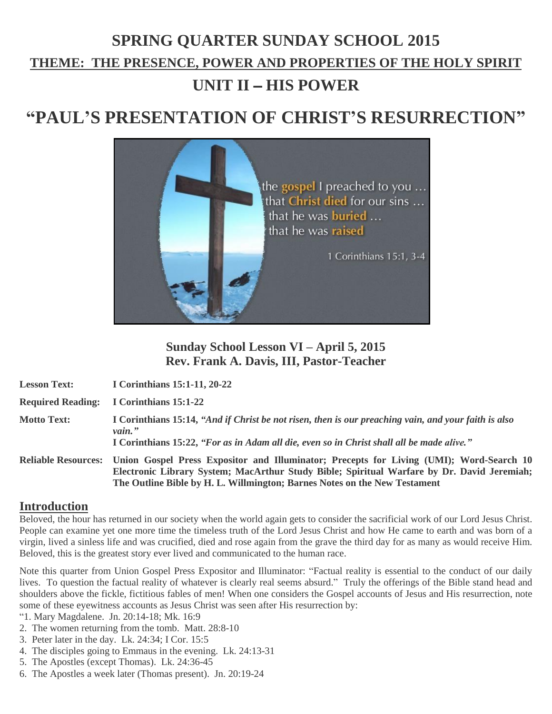# **SPRING QUARTER SUNDAY SCHOOL 2015 THEME: THE PRESENCE, POWER AND PROPERTIES OF THE HOLY SPIRIT UNIT II** – **HIS POWER**

## **"PAUL'S PRESENTATION OF CHRIST'S RESURRECTION"**



**Sunday School Lesson VI – April 5, 2015 Rev. Frank A. Davis, III, Pastor-Teacher**

| <b>Lesson Text:</b>        | I Corinthians 15:1-11, 20-22                                                                                                                                                                                                                                       |
|----------------------------|--------------------------------------------------------------------------------------------------------------------------------------------------------------------------------------------------------------------------------------------------------------------|
|                            | Required Reading: I Corinthians 15:1-22                                                                                                                                                                                                                            |
| <b>Motto Text:</b>         | I Corinthians 15:14, "And if Christ be not risen, then is our preaching vain, and your faith is also<br>$vain.$ "<br>I Corinthians 15:22, "For as in Adam all die, even so in Christ shall all be made alive."                                                     |
| <b>Reliable Resources:</b> | Union Gospel Press Expositor and Illuminator; Precepts for Living (UMI); Word-Search 10<br>Electronic Library System; MacArthur Study Bible; Spiritual Warfare by Dr. David Jeremiah;<br>The Outline Bible by H. L. Willmington; Barnes Notes on the New Testament |

## **Introduction**

Beloved, the hour has returned in our society when the world again gets to consider the sacrificial work of our Lord Jesus Christ. People can examine yet one more time the timeless truth of the Lord Jesus Christ and how He came to earth and was born of a virgin, lived a sinless life and was crucified, died and rose again from the grave the third day for as many as would receive Him. Beloved, this is the greatest story ever lived and communicated to the human race.

Note this quarter from Union Gospel Press Expositor and Illuminator: "Factual reality is essential to the conduct of our daily lives. To question the factual reality of whatever is clearly real seems absurd." Truly the offerings of the Bible stand head and shoulders above the fickle, fictitious fables of men! When one considers the Gospel accounts of Jesus and His resurrection, note some of these eyewitness accounts as Jesus Christ was seen after His resurrection by:

- "1. Mary Magdalene. Jn. 20:14-18; Mk. 16:9
- 2. The women returning from the tomb. Matt. 28:8-10
- 3. Peter later in the day. Lk. 24:34; I Cor. 15:5
- 4. The disciples going to Emmaus in the evening. Lk. 24:13-31
- 5. The Apostles (except Thomas). Lk. 24:36-45
- 6. The Apostles a week later (Thomas present). Jn. 20:19-24